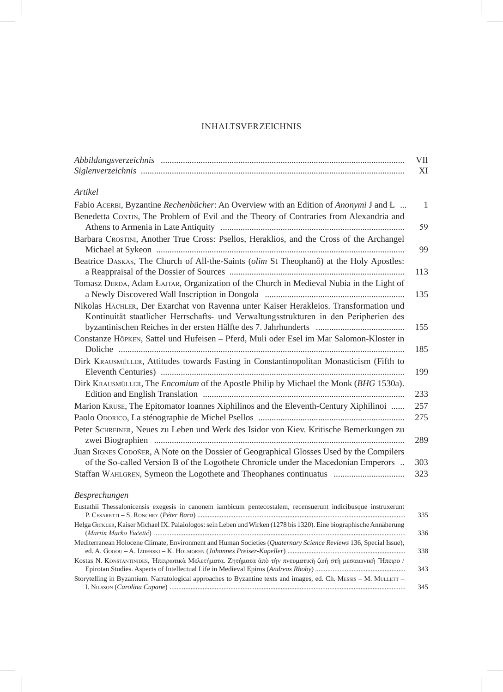## **INHALTSVERZEICHNIS**

|                                                                                                                                                                                 | VII<br>XI    |
|---------------------------------------------------------------------------------------------------------------------------------------------------------------------------------|--------------|
|                                                                                                                                                                                 |              |
| <b>Artikel</b>                                                                                                                                                                  |              |
| Fabio ACERBI, Byzantine Rechenbiicher: An Overview with an Edition of Anonymi J and L                                                                                           | $\mathbf{1}$ |
| Benedetta CONTIN, The Problem of Evil and the Theory of Contraries from Alexandria and                                                                                          | 59           |
| Barbara CROSTINI, Another True Cross: Psellos, Heraklios, and the Cross of the Archangel                                                                                        | 99           |
| Beatrice DASKAS, The Church of All-the-Saints (olim St Theophanô) at the Holy Apostles:                                                                                         | 113          |
| Tomasz DERDA, Adam ŁAJTAR, Organization of the Church in Medieval Nubia in the Light of                                                                                         | 135          |
| Nikolas HÄCHLER, Der Exarchat von Ravenna unter Kaiser Herakleios. Transformation und<br>Kontinuität staatlicher Herrschafts- und Verwaltungsstrukturen in den Peripherien des  | 155          |
| Constanze HÖPKEN, Sattel und Hufeisen - Pferd, Muli oder Esel im Mar Salomon-Kloster in                                                                                         | 185          |
| Dirk KRAUSMÜLLER, Attitudes towards Fasting in Constantinopolitan Monasticism (Fifth to                                                                                         | 199          |
| Dirk KRAUSMÜLLER, The <i>Encomium</i> of the Apostle Philip by Michael the Monk (BHG 1530a).                                                                                    | 233          |
| Marion KRUSE, The Epitomator Ioannes Xiphilinos and the Eleventh-Century Xiphilinoi                                                                                             | 257          |
|                                                                                                                                                                                 | 275          |
| Peter SCHREINER, Neues zu Leben und Werk des Isidor von Kiev. Kritische Bemerkungen zu                                                                                          | 289          |
| Juan SIGNES CODOÑER, A Note on the Dossier of Geographical Glosses Used by the Compilers<br>of the So-called Version B of the Logothete Chronicle under the Macedonian Emperors | 303          |
| Staffan WAHLGREN, Symeon the Logothete and Theophanes continuatus                                                                                                               | 323          |
| Besprechungen                                                                                                                                                                   |              |
| Eustathii Thessalonicensis exegesis in canonem iambicum pentecostalem, recensuerunt indicibusque instruxerunt                                                                   | 335          |
| Helga GICKLER, Kaiser Michael IX. Palaiologos: sein Leben und Wirken (1278 bis 1320). Eine biographische Annäherung                                                             | 336          |
| Mediterranean Holocene Climate, Environment and Human Societies (Quaternary Science Reviews 136, Special Issue),                                                                | 338          |
| Kostas N. KONSTANTINIDES, Ήπειρωτικά Μελετήματα. Ζητήματα άπό την πνευματική ζωή στη μεσαιωνική Ήπειρο /                                                                        | 343          |
| Storytelling in Byzantium. Narratological approaches to Byzantine texts and images, ed. Ch. MESSIS - M. MULLETT -                                                               | 345          |